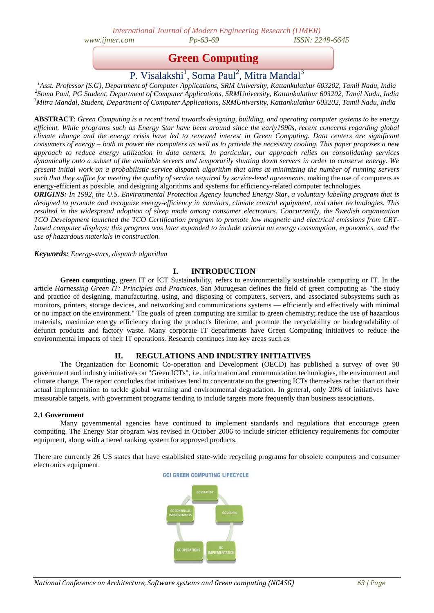*International Journal of Modern Engineering Research (IJMER) www.ijmer.com Pp-63-69 ISSN: 2249-6645* 

**Green Computing**

P. Visalakshi<sup>1</sup>, Soma Paul<sup>2</sup>, Mitra Mandal<sup>3</sup>

*<sup>1</sup>Asst. Professor (S.G), Department of Computer Applications, SRM University, Kattankulathur 603202, Tamil Nadu, India 2 Soma Paul, PG Student, Department of Computer Applications, SRMUniversity, Kattankulathur 603202, Tamil Nadu, India <sup>3</sup>Mitra Mandal, Student, Department of Computer Applications, SRMUniversity, Kattankulathur 603202, Tamil Nadu, India*

**ABSTRACT**: *Green Computing is a recent trend towards designing, building, and operating computer systems to be energy efficient. While programs such as Energy Star have been around since the early1990s, recent concerns regarding global climate change and the energy crisis have led to renewed interest in Green Computing. Data centers are significant consumers of energy – both to power the computers as well as to provide the necessary cooling. This paper proposes a new approach to reduce energy utilization in data centers. In particular, our approach relies on consolidating services dynamically onto a subset of the available servers and temporarily shutting down servers in order to conserve energy. We present initial work on a probabilistic service dispatch algorithm that aims at minimizing the number of running servers such that they suffice for meeting the quality of service required by service-level agreements.* making the use of computers as energy-efficient as possible, and designing algorithms and systems for efficiency-related computer technologies.

*ORIGINS: In 1992, the U.S. Environmental Protection Agency launched Energy Star, a voluntary labeling program that is designed to promote and recognize energy-efficiency in monitors, climate control equipment, and other technologies. This resulted in the widespread adoption of sleep mode among consumer electronics. Concurrently, the Swedish organization TCO Development launched the TCO Certification program to promote low magnetic and electrical emissions from CRTbased computer displays; this program was later expanded to include criteria on energy consumption, ergonomics, and the use of hazardous materials in construction.*

*Keywords: Energy-stars, dispatch algorithm*

## **I. INTRODUCTION**

**Green computing**, green IT or ICT Sustainability, refers to environmentally sustainable computing or IT. In the article *Harnessing Green IT: Principles and Practices*, San Murugesan defines the field of green computing as "the study and practice of designing, manufacturing, using, and disposing of computers, servers, and associated subsystems such as monitors, printers, storage devices, and networking and communications systems — efficiently and effectively with minimal or no impact on the environment." The goals of green computing are similar to green chemistry; reduce the use of hazardous materials, maximize energy efficiency during the product's lifetime, and promote the recyclability or biodegradability of defunct products and factory waste. Many corporate IT departments have Green Computing initiatives to reduce the environmental impacts of their IT operations. Research continues into key areas such as

## **II. REGULATIONS AND INDUSTRY INITIATIVES**

The Organization for Economic Co-operation and Development (OECD) has published a survey of over 90 government and industry initiatives on "Green ICTs", i.e. information and communication technologies, the environment and climate change. The report concludes that initiatives tend to concentrate on the greening ICTs themselves rather than on their actual implementation to tackle global warming and environmental degradation. In general, only 20% of initiatives have measurable targets, with government programs tending to include targets more frequently than business associations.

### **2.1 Government**

Many governmental agencies have continued to implement standards and regulations that encourage green computing. The Energy Star program was revised in October 2006 to include stricter efficiency requirements for computer equipment, along with a tiered ranking system for approved products.

There are currently 26 US states that have established state-wide recycling programs for obsolete computers and consumer electronics equipment.

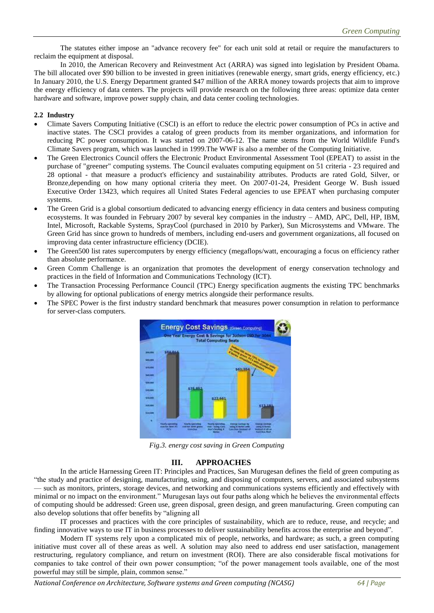The statutes either impose an "advance recovery fee" for each unit sold at retail or require the manufacturers to reclaim the equipment at disposal.

In 2010, the American Recovery and Reinvestment Act (ARRA) was signed into legislation by President Obama. The bill allocated over \$90 billion to be invested in green initiatives (renewable energy, smart grids, energy efficiency, etc.) In January 2010, the U.S. Energy Department granted \$47 million of the ARRA money towards projects that aim to improve the energy efficiency of data centers. The projects will provide research on the following three areas: optimize data center hardware and software, improve power supply chain, and data center cooling technologies.

### **2.2 Industry**

- Climate Savers Computing Initiative (CSCI) is an effort to reduce the electric power consumption of PCs in active and inactive states. The CSCI provides a catalog of green products from its member organizations, and information for reducing PC power consumption. It was started on 2007-06-12. The name stems from the World Wildlife Fund's Climate Savers program, which was launched in 1999.The WWF is also a member of the Computing Initiative.
- The Green Electronics Council offers the Electronic Product Environmental Assessment Tool (EPEAT) to assist in the purchase of "greener" computing systems. The Council evaluates computing equipment on 51 criteria - 23 required and 28 optional - that measure a product's efficiency and sustainability attributes. Products are rated Gold, Silver, or Bronze,depending on how many optional criteria they meet. On 2007-01-24, President George W. Bush issued Executive Order 13423, which requires all United States Federal agencies to use EPEAT when purchasing computer systems.
- The Green Grid is a global consortium dedicated to advancing energy efficiency in data centers and business computing ecosystems. It was founded in February 2007 by several key companies in the industry – AMD, APC, Dell, HP, IBM, Intel, Microsoft, Rackable Systems, SprayCool (purchased in 2010 by Parker), Sun Microsystems and VMware. The Green Grid has since grown to hundreds of members, including end-users and government organizations, all focused on improving data center infrastructure efficiency (DCIE).
- The Green500 list rates supercomputers by energy efficiency (megaflops/watt, encouraging a focus on efficiency rather than absolute performance.
- Green Comm Challenge is an organization that promotes the development of energy conservation technology and practices in the field of Information and Communications Technology (ICT).
- The Transaction Processing Performance Council (TPC) Energy specification augments the existing TPC benchmarks by allowing for optional publications of energy metrics alongside their performance results.
- The SPEC Power is the first industry standard benchmark that measures power consumption in relation to performance for server-class computers.



*Fig.3. energy cost saving in Green Computing*

### **III. APPROACHES**

In the article Harnessing Green IT: Principles and Practices, San Murugesan defines the field of green computing as ―the study and practice of designing, manufacturing, using, and disposing of computers, servers, and associated subsystems — such as monitors, printers, storage devices, and networking and communications systems efficiently and effectively with minimal or no impact on the environment." Murugesan lays out four paths along which he believes the environmental effects of computing should be addressed: Green use, green disposal, green design, and green manufacturing. Green computing can also develop solutions that offer benefits by "aligning all

IT processes and practices with the core principles of sustainability, which are to reduce, reuse, and recycle; and finding innovative ways to use IT in business processes to deliver sustainability benefits across the enterprise and beyond".

Modern IT systems rely upon a complicated mix of people, networks, and hardware; as such, a green computing initiative must cover all of these areas as well. A solution may also need to address end user satisfaction, management restructuring, regulatory compliance, and return on investment (ROI). There are also considerable fiscal motivations for companies to take control of their own power consumption; "of the power management tools available, one of the most powerful may still be simple, plain, common sense."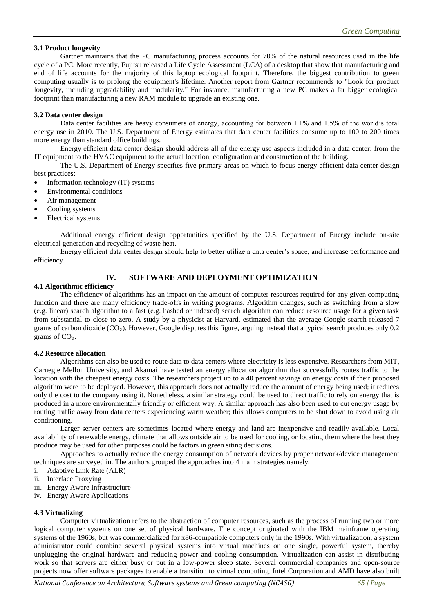### **3.1 Product longevity**

Gartner maintains that the PC manufacturing process accounts for 70% of the natural resources used in the life cycle of a PC. More recently, Fujitsu released a Life Cycle Assessment (LCA) of a desktop that show that manufacturing and end of life accounts for the majority of this laptop ecological footprint. Therefore, the biggest contribution to green computing usually is to prolong the equipment's lifetime. Another report from Gartner recommends to "Look for product longevity, including upgradability and modularity." For instance, manufacturing a new PC makes a far bigger ecological footprint than manufacturing a new RAM module to upgrade an existing one.

### **3.2 Data center design**

Data center facilities are heavy consumers of energy, accounting for between 1.1% and 1.5% of the world's total energy use in 2010. The U.S. Department of Energy estimates that data center facilities consume up to 100 to 200 times more energy than standard office buildings.

Energy efficient data center design should address all of the energy use aspects included in a data center: from the IT equipment to the HVAC equipment to the actual location, configuration and construction of the building.

The U.S. Department of Energy specifies five primary areas on which to focus energy efficient data center design best practices:

- Information technology (IT) systems
- Environmental conditions
- Air management
- Cooling systems
- Electrical systems

Additional energy efficient design opportunities specified by the U.S. Department of Energy include on-site electrical generation and recycling of waste heat.

Energy efficient data center design should help to better utilize a data center's space, and increase performance and efficiency.

## **IV. SOFTWARE AND DEPLOYMENT OPTIMIZATION**

### **4.1 Algorithmic efficiency**

The efficiency of algorithms has an impact on the amount of computer resources required for any given computing function and there are many efficiency trade-offs in writing programs. Algorithm changes, such as switching from a slow (e.g. linear) search algorithm to a fast (e.g. hashed or indexed) search algorithm can reduce resource usage for a given task from substantial to close-to zero. A study by a physicist at Harvard, estimated that the average Google search released 7 grams of carbon dioxide  $(CO<sub>2</sub>)$ . However, Google disputes this figure, arguing instead that a typical search produces only 0.2 grams of  $CO<sub>2</sub>$ .

### **4.2 Resource allocation**

Algorithms can also be used to route data to data centers where electricity is less expensive. Researchers from MIT, Carnegie Mellon University, and Akamai have tested an energy allocation algorithm that successfully routes traffic to the location with the cheapest energy costs. The researchers project up to a 40 percent savings on energy costs if their proposed algorithm were to be deployed. However, this approach does not actually reduce the amount of energy being used; it reduces only the cost to the company using it. Nonetheless, a similar strategy could be used to direct traffic to rely on energy that is produced in a more environmentally friendly or efficient way. A similar approach has also been used to cut energy usage by routing traffic away from data centers experiencing warm weather; this allows computers to be shut down to avoid using air conditioning.

Larger server centers are sometimes located where energy and land are inexpensive and readily available. Local availability of renewable energy, climate that allows outside air to be used for cooling, or locating them where the heat they produce may be used for other purposes could be factors in green siting decisions.

Approaches to actually reduce the energy consumption of network devices by proper network/device management techniques are surveyed in. The authors grouped the approaches into 4 main strategies namely,

- i. Adaptive Link Rate (ALR)
- ii. Interface Proxying
- iii. Energy Aware Infrastructure
- iv. Energy Aware Applications

### **4.3 Virtualizing**

Computer virtualization refers to the abstraction of computer resources, such as the process of running two or more logical computer systems on one set of physical hardware. The concept originated with the IBM mainframe operating systems of the 1960s, but was commercialized for x86-compatible computers only in the 1990s. With virtualization, a system administrator could combine several physical systems into virtual machines on one single, powerful system, thereby unplugging the original hardware and reducing power and cooling consumption. Virtualization can assist in distributing work so that servers are either busy or put in a low-power sleep state. Several commercial companies and open-source projects now offer software packages to enable a transition to virtual computing. Intel Corporation and AMD have also built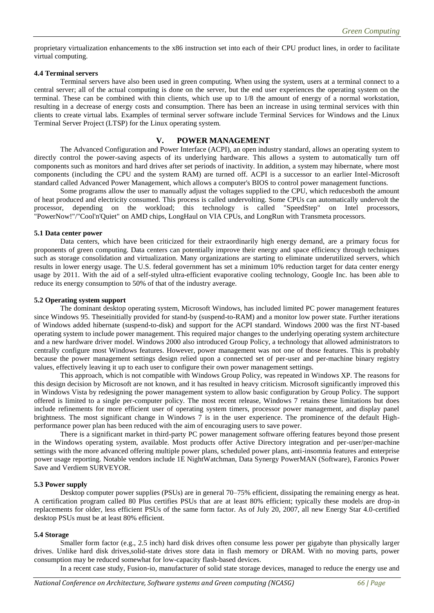proprietary virtualization enhancements to the x86 instruction set into each of their CPU product lines, in order to facilitate virtual computing.

#### **4.4 Terminal servers**

Terminal servers have also been used in green computing. When using the system, users at a terminal connect to a central server; all of the actual computing is done on the server, but the end user experiences the operating system on the terminal. These can be combined with thin clients, which use up to 1/8 the amount of energy of a normal workstation, resulting in a decrease of energy costs and consumption. There has been an increase in using terminal services with thin clients to create virtual labs. Examples of terminal server software include Terminal Services for Windows and the Linux Terminal Server Project (LTSP) for the Linux operating system.

### **V. POWER MANAGEMENT**

The Advanced Configuration and Power Interface (ACPI), an open industry standard, allows an operating system to directly control the power-saving aspects of its underlying hardware. This allows a system to automatically turn off components such as monitors and hard drives after set periods of inactivity. In addition, a system may hibernate, where most components (including the CPU and the system RAM) are turned off. ACPI is a successor to an earlier Intel-Microsoft standard called Advanced Power Management, which allows a computer's BIOS to control power management functions.

Some programs allow the user to manually adjust the voltages supplied to the CPU, which reducesboth the amount of heat produced and electricity consumed. This process is called undervolting. Some CPUs can automatically undervolt the processor, depending on the workload; this technology is called "SpeedStep" on Intel processors, "PowerNow!"/"Cool'n'Quiet" on AMD chips, LongHaul on VIA CPUs, and LongRun with Transmeta processors.

#### **5.1 Data center power**

Data centers, which have been criticized for their extraordinarily high energy demand, are a primary focus for proponents of green computing. Data centers can potentially improve their energy and space efficiency through techniques such as storage consolidation and virtualization. Many organizations are starting to eliminate underutilized servers, which results in lower energy usage. The U.S. federal government has set a minimum 10% reduction target for data center energy usage by 2011. With the aid of a self-styled ultra-efficient evaporative cooling technology, Google Inc. has been able to reduce its energy consumption to 50% of that of the industry average.

### **5.2 Operating system support**

The dominant desktop operating system, Microsoft Windows, has included limited PC power management features since Windows 95. Theseinitially provided for stand-by (suspend-to-RAM) and a monitor low power state. Further iterations of Windows added hibernate (suspend-to-disk) and support for the ACPI standard. Windows 2000 was the first NT-based operating system to include power management. This required major changes to the underlying operating system architecture and a new hardware driver model. Windows 2000 also introduced Group Policy, a technology that allowed administrators to centrally configure most Windows features. However, power management was not one of those features. This is probably because the power management settings design relied upon a connected set of per-user and per-machine binary registry values, effectively leaving it up to each user to configure their own power management settings.

This approach, which is not compatible with Windows Group Policy, was repeated in Windows XP. The reasons for this design decision by Microsoft are not known, and it has resulted in heavy criticism. Microsoft significantly improved this in Windows Vista by redesigning the power management system to allow basic configuration by Group Policy. The support offered is limited to a single per-computer policy. The most recent release, Windows 7 retains these limitations but does include refinements for more efficient user of operating system timers, processor power management, and display panel brightness. The most significant change in Windows 7 is in the user experience. The prominence of the default Highperformance power plan has been reduced with the aim of encouraging users to save power.

There is a significant market in third-party PC power management software offering features beyond those present in the Windows operating system, available. Most products offer Active Directory integration and per-user/per-machine settings with the more advanced offering multiple power plans, scheduled power plans, anti-insomnia features and enterprise power usage reporting. Notable vendors include 1E NightWatchman, Data Synergy PowerMAN (Software), Faronics Power Save and Verdiem SURVEYOR.

#### **5.3 Power supply**

Desktop computer power supplies (PSUs) are in general 70–75% efficient, dissipating the remaining energy as heat. A certification program called 80 Plus certifies PSUs that are at least 80% efficient; typically these models are drop-in replacements for older, less efficient PSUs of the same form factor. As of July 20, 2007, all new Energy Star 4.0-certified desktop PSUs must be at least 80% efficient.

#### **5.4 Storage**

Smaller form factor (e.g., 2.5 inch) hard disk drives often consume less power per gigabyte than physically larger drives. Unlike hard disk drives,solid-state drives store data in flash memory or DRAM. With no moving parts, power consumption may be reduced somewhat for low-capacity flash-based devices.

In a recent case study, Fusion-io, manufacturer of solid state storage devices, managed to reduce the energy use and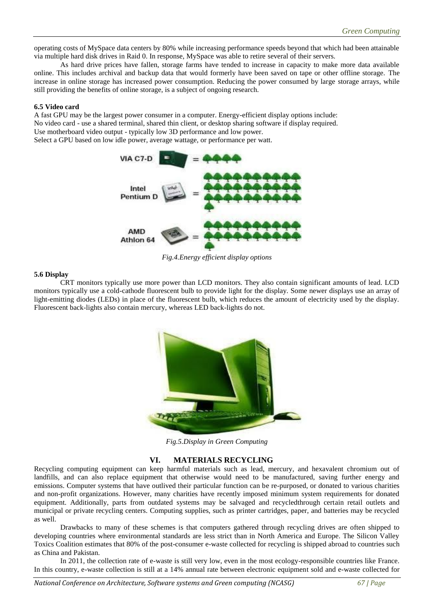operating costs of MySpace data centers by 80% while increasing performance speeds beyond that which had been attainable via multiple hard disk drives in Raid 0. In response, MySpace was able to retire several of their servers.

As hard drive prices have fallen, storage farms have tended to increase in capacity to make more data available online. This includes archival and backup data that would formerly have been saved on tape or other offline storage. The increase in online storage has increased power consumption. Reducing the power consumed by large storage arrays, while still providing the benefits of online storage, is a subject of ongoing research.

### **6.5 Video card**

A fast GPU may be the largest power consumer in a computer. Energy-efficient display options include: No video card - use a shared terminal, shared thin client, or desktop sharing software if display required.

Select a GPU based on low idle power, average wattage, or performance per watt.



*Fig.4.Energy efficient display options*

### **5.6 Display**

CRT monitors typically use more power than LCD monitors. They also contain significant amounts of lead. LCD monitors typically use a cold-cathode fluorescent bulb to provide light for the display. Some newer displays use an array of light-emitting diodes (LEDs) in place of the fluorescent bulb, which reduces the amount of electricity used by the display. Fluorescent back-lights also contain mercury, whereas LED back-lights do not.



*Fig.5.Display in Green Computing*

### **VI. MATERIALS RECYCLING**

Recycling computing equipment can keep harmful materials such as lead, mercury, and hexavalent chromium out of landfills, and can also replace equipment that otherwise would need to be manufactured, saving further energy and emissions. Computer systems that have outlived their particular function can be re-purposed, or donated to various charities and non-profit organizations. However, many charities have recently imposed minimum system requirements for donated equipment. Additionally, parts from outdated systems may be salvaged and recycledthrough certain retail outlets and municipal or private recycling centers. Computing supplies, such as printer cartridges, paper, and batteries may be recycled as well.

Drawbacks to many of these schemes is that computers gathered through recycling drives are often shipped to developing countries where environmental standards are less strict than in North America and Europe. The Silicon Valley Toxics Coalition estimates that 80% of the post-consumer e-waste collected for recycling is shipped abroad to countries such as China and Pakistan.

In 2011, the collection rate of e-waste is still very low, even in the most ecology-responsible countries like France. In this country, e-waste collection is still at a 14% annual rate between electronic equipment sold and e-waste collected for

Use motherboard video output - typically low 3D performance and low power.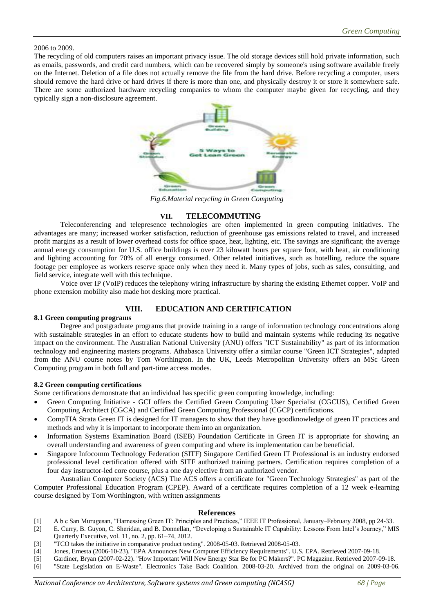2006 to 2009.

The recycling of old computers raises an important privacy issue. The old storage devices still hold private information, such as emails, passwords, and credit card numbers, which can be recovered simply by someone's using software available freely on the Internet. Deletion of a file does not actually remove the file from the hard drive. Before recycling a computer, users should remove the hard drive or hard drives if there is more than one, and physically destroy it or store it somewhere safe. There are some authorized hardware recycling companies to whom the computer maybe given for recycling, and they typically sign a non-disclosure agreement.



*Fig.6.Material recycling in Green Computing*

## **VII. TELECOMMUTING**

Teleconferencing and telepresence technologies are often implemented in green computing initiatives. The advantages are many; increased worker satisfaction, reduction of greenhouse gas emissions related to travel, and increased profit margins as a result of lower overhead costs for office space, heat, lighting, etc. The savings are significant; the average annual energy consumption for U.S. office buildings is over 23 kilowatt hours per square foot, with heat, air conditioning and lighting accounting for 70% of all energy consumed. Other related initiatives, such as hotelling, reduce the square footage per employee as workers reserve space only when they need it. Many types of jobs, such as sales, consulting, and field service, integrate well with this technique.

Voice over IP (VoIP) reduces the telephony wiring infrastructure by sharing the existing Ethernet copper. VoIP and phone extension mobility also made hot desking more practical.

# **VIII. EDUCATION AND CERTIFICATION**

## **8.1 Green computing programs**

Degree and postgraduate programs that provide training in a range of information technology concentrations along with sustainable strategies in an effort to educate students how to build and maintain systems while reducing its negative impact on the environment. The Australian National University (ANU) offers "ICT Sustainability" as part of its information technology and engineering masters programs. Athabasca University offer a similar course "Green ICT Strategies", adapted from the ANU course notes by Tom Worthington. In the UK, Leeds Metropolitan University offers an MSc Green Computing program in both full and part-time access modes.

### **8.2 Green computing certifications**

Some certifications demonstrate that an individual has specific green computing knowledge, including:

- Green Computing Initiative GCI offers the Certified Green Computing User Specialist (CGCUS), Certified Green Computing Architect (CGCA) and Certified Green Computing Professional (CGCP) certifications.
- CompTIA Strata Green IT is designed for IT managers to show that they have goodknowledge of green IT practices and methods and why it is important to incorporate them into an organization.
- Information Systems Examination Board (ISEB) Foundation Certificate in Green IT is appropriate for showing an overall understanding and awareness of green computing and where its implementation can be beneficial.
- Singapore Infocomm Technology Federation (SITF) Singapore Certified Green IT Professional is an industry endorsed professional level certification offered with SITF authorized training partners. Certification requires completion of a four day instructor-led core course, plus a one day elective from an authorized vendor.

Australian Computer Society (ACS) The ACS offers a certificate for "Green Technology Strategies" as part of the Computer Professional Education Program (CPEP). Award of a certificate requires completion of a 12 week e-learning course designed by Tom Worthington, with written assignments

## **References**

- [1] A b c San Murugesan, "Harnessing Green IT: Principles and Practices," IEEE IT Professional, January–February 2008, pp 24-33.
- [2] E. Curry, B. Guyon, C. Sheridan, and B. Donnellan, "Developing a Sustainable IT Capability: Lessons From Intel's Journey," MIS Quarterly Executive, vol. 11, no. 2, pp. 61–74, 2012.
- [3] "TCO takes the initiative in comparative product testing". 2008-05-03. Retrieved 2008-05-03.
- [4] Jones, Ernesta (2006-10-23). "EPA Announces New Computer Efficiency Requirements". U.S. EPA. Retrieved 2007-09-18.
- [5] Gardiner, Bryan (2007-02-22). "How Important Will New Energy Star Be for PC Makers?". PC Magazine. Retrieved 2007-09-18.
- [6] "State Legislation on E-Waste". Electronics Take Back Coalition. 2008-03-20. Archived from the original on 2009-03-06.